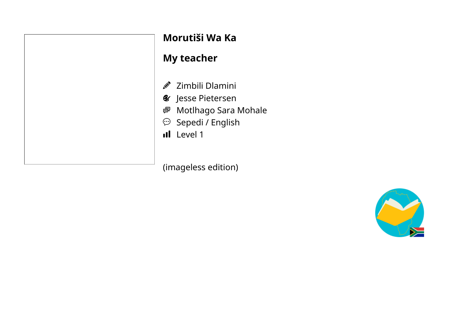| Morutiši V                                                                                        |
|---------------------------------------------------------------------------------------------------|
| <b>My teache</b>                                                                                  |
| $\mathscr{D}$ Zimbili D<br><b>&amp;</b> Jesse Piet<br>● Motlhago<br>Sepedi /<br><b>II</b> Level 1 |

#### **Morutiši Wa Ka**

### **My teacher**

- Iamini
- tersen
- o Sara Mohale
- English

(imageless edition)

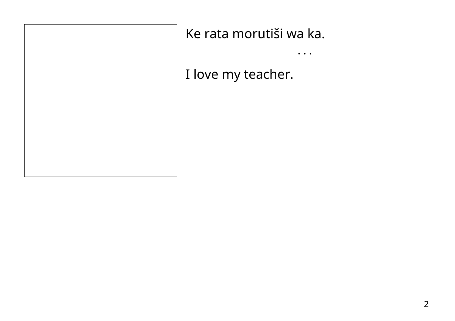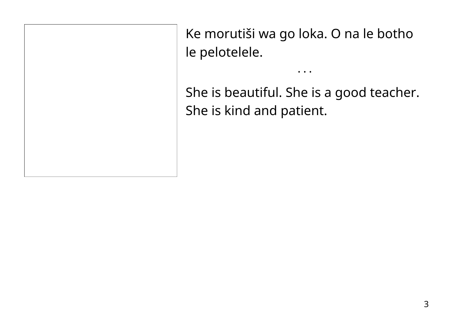Ke morutiši wa go loka. O na le botho le pelotelele.

She is beautiful. She is a good teacher. She is kind and patient.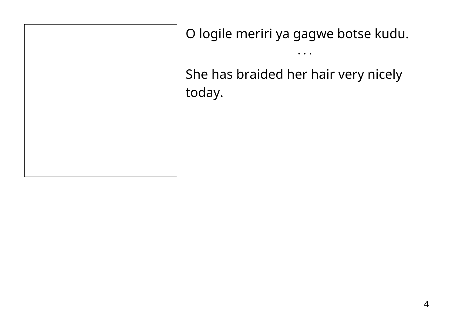O logile meriri ya gagwe botse kudu.

• • •

She has braided her hair very nicely today.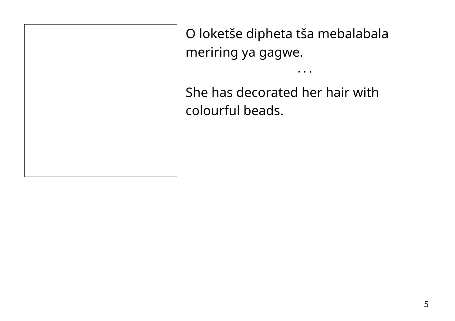O loketše dipheta tša mebalabala meriring ya gagwe.

 $\bullet\quad\bullet\quad\bullet$ 

She has decorated her hair with colourful beads.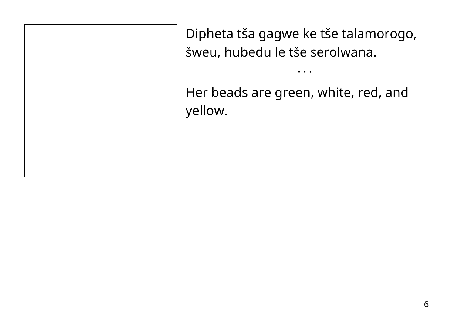Dipheta tša gagwe ke tše talamorogo, šweu, hubedu le tše serolwana.

• • •

Her beads are green, white, red, and yellow.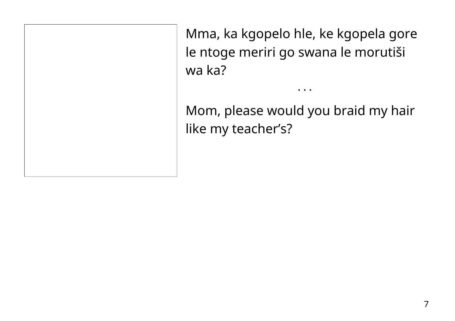Mma, ka kgopelo hle, ke kgopela gore le ntoge meriri go swana le morutiši wa ka?

Mom, please would you braid my hair like my teacher's?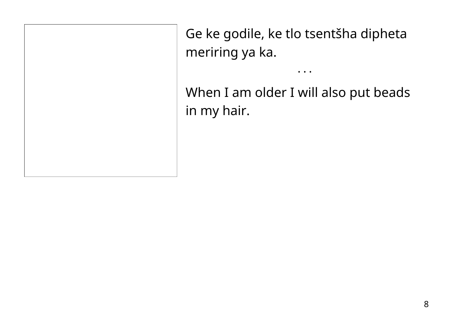Ge ke godile, ke tlo tsentšha dipheta meriring ya ka.

When I am older I will also put beads in my hair.

 $\bullet$   $\bullet$   $\bullet$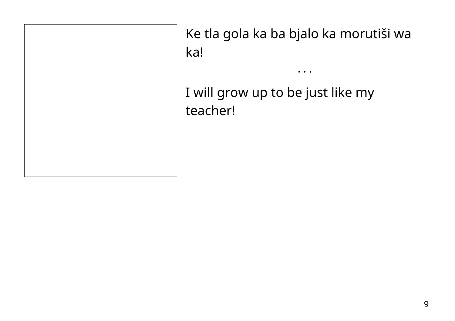Ke tla gola ka ba bjalo ka morutiši wa ka!

I will grow up to be just like my teacher!